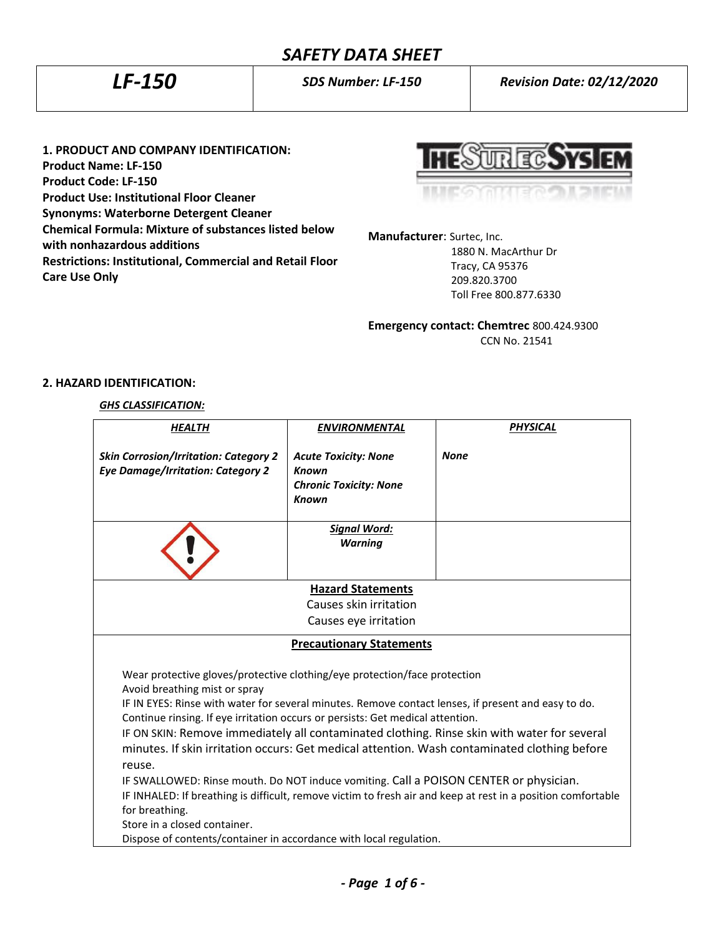# *SAFETY DATA SHEET*

*LF-150 SDS Number: LF-150 Revision Date: 02/12/2020*

**1. PRODUCT AND COMPANY IDENTIFICATION: Product Name: LF-150 Product Code: LF-150 Product Use: Institutional Floor Cleaner Synonyms: Waterborne Detergent Cleaner Chemical Formula: Mixture of substances listed below with nonhazardous additions Restrictions: Institutional, Commercial and Retail Floor** 

पार द्वार

**Manufacturer**: Surtec, Inc.

 1880 N. MacArthur Dr Tracy, CA 95376 209.820.3700 Toll Free 800.877.6330

**Emergency contact: Chemtrec** 800.424.9300 CCN No. 21541

## **2. HAZARD IDENTIFICATION:**

**Care Use Only**

#### *GHS CLASSIFICATION:*

| <b>HEALTH</b>                                                                                                                                                                                                                                                                 | <b>ENVIRONMENTAL</b>                                                                  | <b>PHYSICAL</b> |  |
|-------------------------------------------------------------------------------------------------------------------------------------------------------------------------------------------------------------------------------------------------------------------------------|---------------------------------------------------------------------------------------|-----------------|--|
| <b>Skin Corrosion/Irritation: Category 2</b><br><b>Eye Damage/Irritation: Category 2</b>                                                                                                                                                                                      | <b>Acute Toxicity: None</b><br>Known<br><b>Chronic Toxicity: None</b><br><b>Known</b> | <b>None</b>     |  |
|                                                                                                                                                                                                                                                                               | <b>Signal Word:</b>                                                                   |                 |  |
|                                                                                                                                                                                                                                                                               | <b>Warning</b>                                                                        |                 |  |
| <b>Hazard Statements</b>                                                                                                                                                                                                                                                      |                                                                                       |                 |  |
|                                                                                                                                                                                                                                                                               | Causes skin irritation                                                                |                 |  |
| Causes eye irritation                                                                                                                                                                                                                                                         |                                                                                       |                 |  |
| <b>Precautionary Statements</b>                                                                                                                                                                                                                                               |                                                                                       |                 |  |
| Wear protective gloves/protective clothing/eye protection/face protection<br>Avoid breathing mist or spray                                                                                                                                                                    |                                                                                       |                 |  |
| IF IN EYES: Rinse with water for several minutes. Remove contact lenses, if present and easy to do.                                                                                                                                                                           |                                                                                       |                 |  |
| Continue rinsing. If eye irritation occurs or persists: Get medical attention.<br>IF ON SKIN: Remove immediately all contaminated clothing. Rinse skin with water for several<br>minutes. If skin irritation occurs: Get medical attention. Wash contaminated clothing before |                                                                                       |                 |  |
| reuse.<br>IF SWALLOWED: Rinse mouth. Do NOT induce vomiting. Call a POISON CENTER or physician.                                                                                                                                                                               |                                                                                       |                 |  |
| IF INHALED: If breathing is difficult, remove victim to fresh air and keep at rest in a position comfortable                                                                                                                                                                  |                                                                                       |                 |  |
| for breathing.                                                                                                                                                                                                                                                                |                                                                                       |                 |  |
| Store in a closed container.                                                                                                                                                                                                                                                  |                                                                                       |                 |  |
| Dispose of contents/container in accordance with local regulation.                                                                                                                                                                                                            |                                                                                       |                 |  |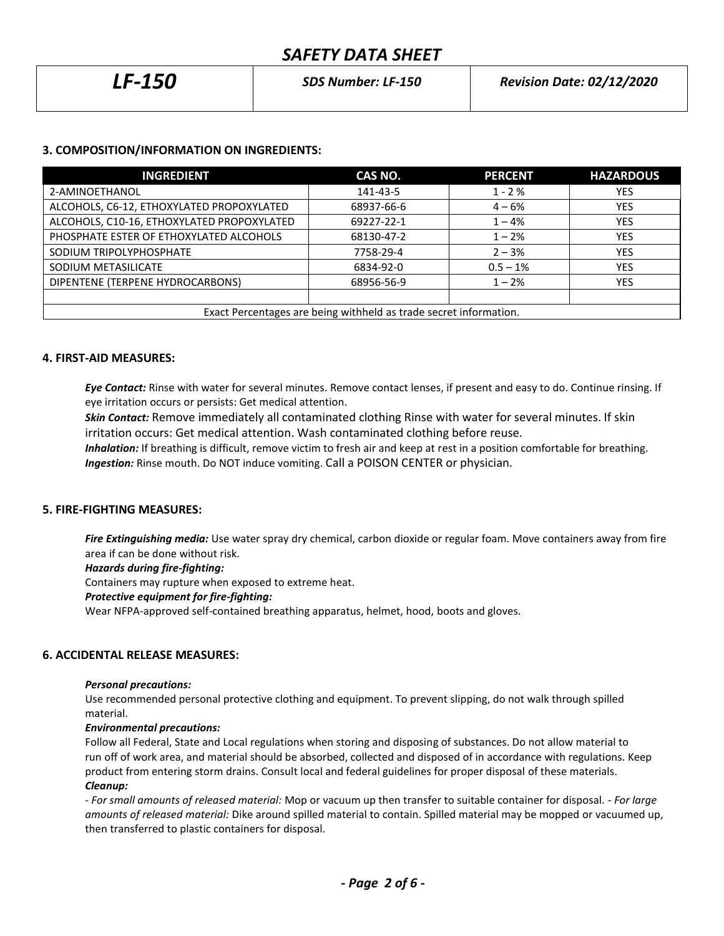| <b>LF-150</b> | <b>SDS Number: LF-150</b> | <b>Revision Date: 02/12/2020</b> |
|---------------|---------------------------|----------------------------------|
|               |                           |                                  |

# **3. COMPOSITION/INFORMATION ON INGREDIENTS:**

| <b>INGREDIENT</b>                                                 | CAS NO.    | <b>PERCENT</b> | <b>HAZARDOUS</b> |
|-------------------------------------------------------------------|------------|----------------|------------------|
| 2-AMINOETHANOL                                                    | 141-43-5   | $1 - 2%$       | YES              |
| ALCOHOLS, C6-12, ETHOXYLATED PROPOXYLATED                         | 68937-66-6 | $4 - 6%$       | <b>YES</b>       |
| ALCOHOLS, C10-16, ETHOXYLATED PROPOXYLATED                        | 69227-22-1 | $1 - 4%$       | <b>YES</b>       |
| PHOSPHATE ESTER OF ETHOXYLATED ALCOHOLS                           | 68130-47-2 | $1 - 2%$       | <b>YES</b>       |
| SODIUM TRIPOLYPHOSPHATE                                           | 7758-29-4  | $2 - 3%$       | <b>YES</b>       |
| SODIUM METASILICATE                                               | 6834-92-0  | $0.5 - 1%$     | <b>YES</b>       |
| DIPENTENE (TERPENE HYDROCARBONS)                                  | 68956-56-9 | $1 - 2%$       | <b>YES</b>       |
|                                                                   |            |                |                  |
| Exact Percentages are being withheld as trade secret information. |            |                |                  |

## **4. FIRST-AID MEASURES:**

*Eye Contact:* Rinse with water for several minutes. Remove contact lenses, if present and easy to do. Continue rinsing. If eye irritation occurs or persists: Get medical attention.

*Skin Contact:* Remove immediately all contaminated clothing Rinse with water for several minutes. If skin irritation occurs: Get medical attention. Wash contaminated clothing before reuse.

 *Inhalation:* If breathing is difficult, remove victim to fresh air and keep at rest in a position comfortable for breathing. *Ingestion:* Rinse mouth. Do NOT induce vomiting. Call a POISON CENTER or physician.

## **5. FIRE-FIGHTING MEASURES:**

*Fire Extinguishing media:* Use water spray dry chemical, carbon dioxide or regular foam. Move containers away from fire area if can be done without risk.

## *Hazards during fire-fighting:*

Containers may rupture when exposed to extreme heat.

## *Protective equipment for fire-fighting:*

Wear NFPA-approved self-contained breathing apparatus, helmet, hood, boots and gloves.

# **6. ACCIDENTAL RELEASE MEASURES:**

## *Personal precautions:*

Use recommended personal protective clothing and equipment. To prevent slipping, do not walk through spilled material.

## *Environmental precautions:*

Follow all Federal, State and Local regulations when storing and disposing of substances. Do not allow material to run off of work area, and material should be absorbed, collected and disposed of in accordance with regulations. Keep product from entering storm drains. Consult local and federal guidelines for proper disposal of these materials. *Cleanup:*

*- For small amounts of released material:* Mop or vacuum up then transfer to suitable container for disposal. - *For large amounts of released material:* Dike around spilled material to contain. Spilled material may be mopped or vacuumed up, then transferred to plastic containers for disposal.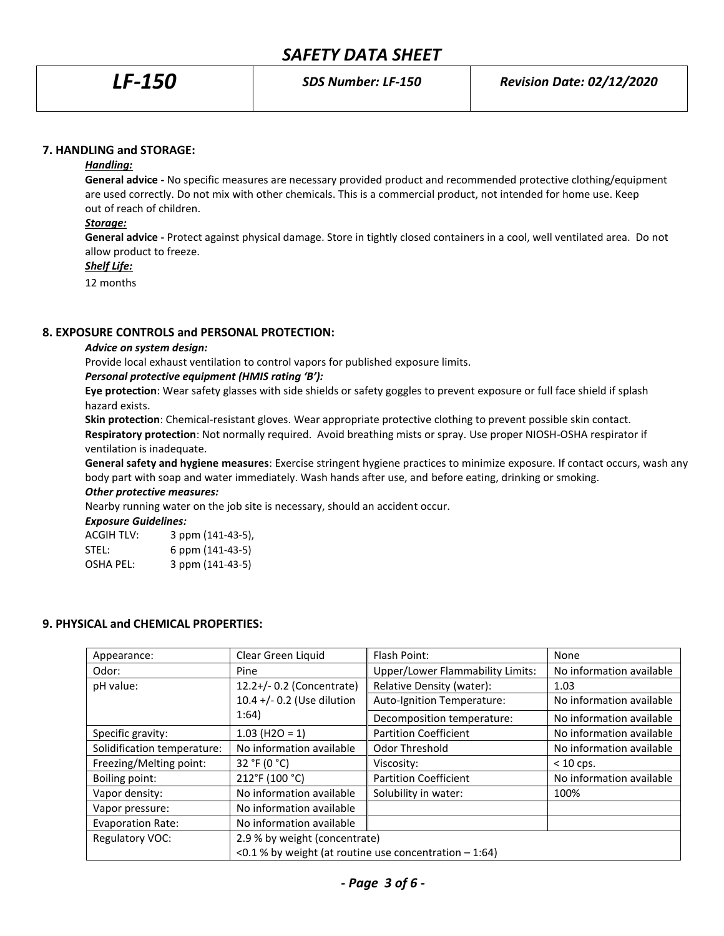# *SAFETY DATA SHEET*

## **7. HANDLING and STORAGE:**

#### *Handling:*

**General advice -** No specific measures are necessary provided product and recommended protective clothing/equipment are used correctly. Do not mix with other chemicals. This is a commercial product, not intended for home use. Keep out of reach of children.

## *Storage:*

**General advice -** Protect against physical damage. Store in tightly closed containers in a cool, well ventilated area. Do not allow product to freeze.

## *Shelf Life:*

12 months

# **8. EXPOSURE CONTROLS and PERSONAL PROTECTION:**

#### *Advice on system design:*

Provide local exhaust ventilation to control vapors for published exposure limits.

## *Personal protective equipment (HMIS rating 'B'):*

**Eye protection**: Wear safety glasses with side shields or safety goggles to prevent exposure or full face shield if splash hazard exists.

**Skin protection**: Chemical-resistant gloves. Wear appropriate protective clothing to prevent possible skin contact. **Respiratory protection**: Not normally required. Avoid breathing mists or spray. Use proper NIOSH-OSHA respirator if ventilation is inadequate.

**General safety and hygiene measures**: Exercise stringent hygiene practices to minimize exposure. If contact occurs, wash any body part with soap and water immediately. Wash hands after use, and before eating, drinking or smoking. *Other protective measures:*

Nearby running water on the job site is necessary, should an accident occur.

*Exposure Guidelines:*

| <b>ACGIH TLV:</b> | 3 ppm (141-43-5), |
|-------------------|-------------------|
| STEL:             | 6 ppm (141-43-5)  |
| OSHA PEL:         | 3 ppm (141-43-5)  |

## **9. PHYSICAL and CHEMICAL PROPERTIES:**

| Appearance:                 | Clear Green Liquid                                       | Flash Point:                     | None                     |
|-----------------------------|----------------------------------------------------------|----------------------------------|--------------------------|
| Odor:                       | Pine                                                     | Upper/Lower Flammability Limits: | No information available |
| pH value:                   | 12.2+/- 0.2 (Concentrate)                                | Relative Density (water):        | 1.03                     |
|                             | 10.4 +/- 0.2 (Use dilution                               | Auto-Ignition Temperature:       | No information available |
|                             | 1:64)                                                    | Decomposition temperature:       | No information available |
| Specific gravity:           | $1.03$ (H2O = 1)                                         | <b>Partition Coefficient</b>     | No information available |
| Solidification temperature: | No information available                                 | Odor Threshold                   | No information available |
| Freezing/Melting point:     | 32 °F (0 °C)                                             | Viscosity:                       | $< 10$ cps.              |
| Boiling point:              | 212°F (100 °C)                                           | <b>Partition Coefficient</b>     | No information available |
| Vapor density:              | No information available                                 | Solubility in water:             | 100%                     |
| Vapor pressure:             | No information available                                 |                                  |                          |
| <b>Evaporation Rate:</b>    | No information available                                 |                                  |                          |
| Regulatory VOC:             | 2.9 % by weight (concentrate)                            |                                  |                          |
|                             | <0.1 % by weight (at routine use concentration $-1:64$ ) |                                  |                          |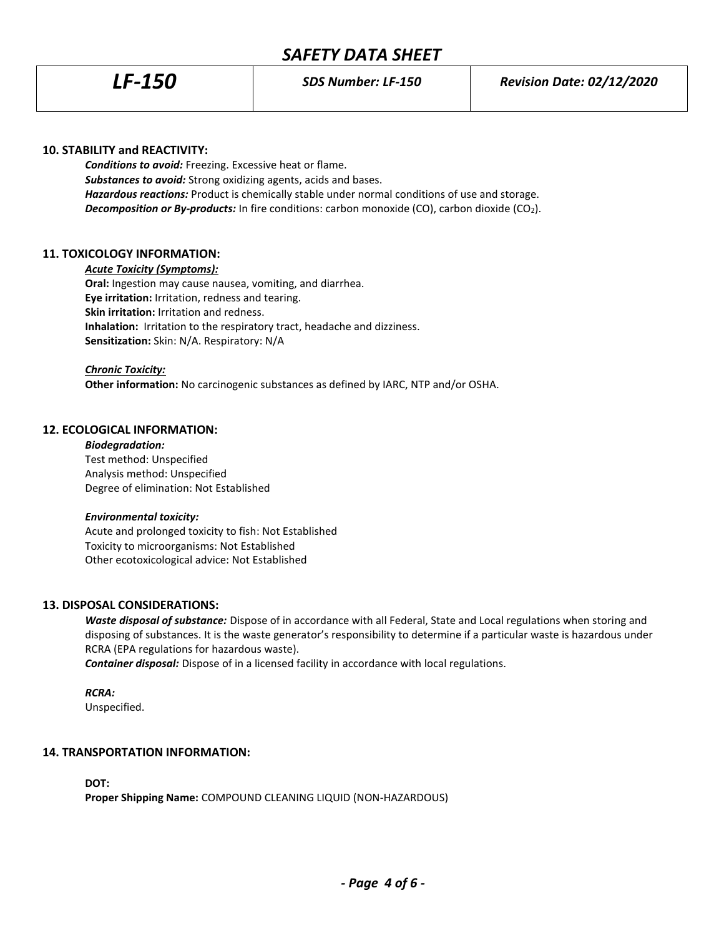## **10. STABILITY and REACTIVITY:**

*Conditions to avoid:* Freezing. Excessive heat or flame. *Substances to avoid:* Strong oxidizing agents, acids and bases. *Hazardous reactions:* Product is chemically stable under normal conditions of use and storage. *Decomposition or By-products:* In fire conditions: carbon monoxide (CO), carbon dioxide (CO2).

## **11. TOXICOLOGY INFORMATION:**

#### *Acute Toxicity (Symptoms):*

**Oral:** Ingestion may cause nausea, vomiting, and diarrhea. **Eye irritation:** Irritation, redness and tearing. **Skin irritation:** Irritation and redness. **Inhalation:** Irritation to the respiratory tract, headache and dizziness. **Sensitization:** Skin: N/A. Respiratory: N/A

#### *Chronic Toxicity:*

**Other information:** No carcinogenic substances as defined by IARC, NTP and/or OSHA.

#### **12. ECOLOGICAL INFORMATION:**

## *Biodegradation:* Test method: Unspecified Analysis method: Unspecified Degree of elimination: Not Established

#### *Environmental toxicity:*

Acute and prolonged toxicity to fish: Not Established Toxicity to microorganisms: Not Established Other ecotoxicological advice: Not Established

## **13. DISPOSAL CONSIDERATIONS:**

*Waste disposal of substance:* Dispose of in accordance with all Federal, State and Local regulations when storing and disposing of substances. It is the waste generator's responsibility to determine if a particular waste is hazardous under RCRA (EPA regulations for hazardous waste).

*Container disposal:* Dispose of in a licensed facility in accordance with local regulations.

## *RCRA:*

Unspecified.

## **14. TRANSPORTATION INFORMATION:**

**DOT:**

**Proper Shipping Name:** COMPOUND CLEANING LIQUID (NON-HAZARDOUS)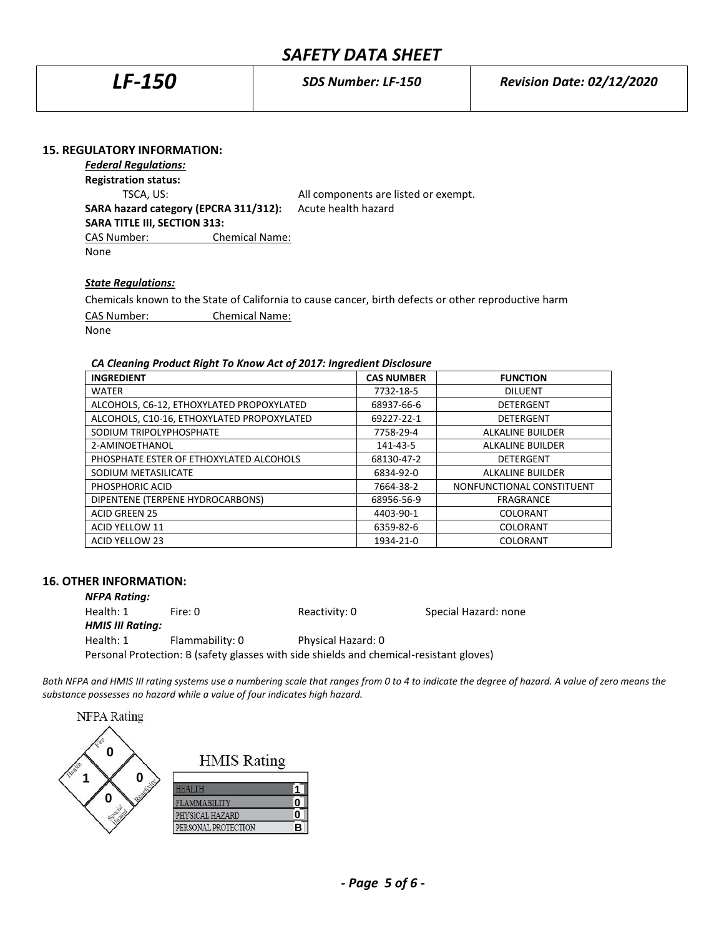# *SAFETY DATA SHEET*

| <i>LF-150</i> | <b>SDS Number: LF-150</b> | <b>Revision Date: 02/12/2020</b> |
|---------------|---------------------------|----------------------------------|
|               |                           |                                  |

## **15. REGULATORY INFORMATION:**

*Federal Regulations:* **Registration status:**

TSCA, US: All components are listed or exempt.

**SARA hazard category (EPCRA 311/312):** Acute health hazard **SARA TITLE III, SECTION 313:** CAS Number: Chemical Name:

None

#### *State Regulations:*

Chemicals known to the State of California to cause cancer, birth defects or other reproductive harm

CAS Number: Chemical Name:

None

## *CA Cleaning Product Right To Know Act of 2017: Ingredient Disclosure*

| <b>INGREDIENT</b>                          | <b>CAS NUMBER</b> | <b>FUNCTION</b>           |
|--------------------------------------------|-------------------|---------------------------|
| <b>WATER</b>                               | 7732-18-5         | <b>DILUENT</b>            |
| ALCOHOLS, C6-12, ETHOXYLATED PROPOXYLATED  | 68937-66-6        | <b>DETERGENT</b>          |
| ALCOHOLS, C10-16, ETHOXYLATED PROPOXYLATED | 69227-22-1        | <b>DETERGENT</b>          |
| SODIUM TRIPOLYPHOSPHATE                    | 7758-29-4         | <b>ALKALINE BUILDER</b>   |
| 2-AMINOETHANOL                             | 141-43-5          | <b>ALKALINE BUILDER</b>   |
| PHOSPHATE ESTER OF ETHOXYLATED ALCOHOLS    | 68130-47-2        | DETERGENT                 |
| SODIUM METASILICATE                        | 6834-92-0         | <b>ALKALINE BUILDER</b>   |
| PHOSPHORIC ACID                            | 7664-38-2         | NONFUNCTIONAL CONSTITUENT |
| DIPENTENE (TERPENE HYDROCARBONS)           | 68956-56-9        | <b>FRAGRANCE</b>          |
| <b>ACID GREEN 25</b>                       | 4403-90-1         | <b>COLORANT</b>           |
| <b>ACID YELLOW 11</b>                      | 6359-82-6         | <b>COLORANT</b>           |
| <b>ACID YELLOW 23</b>                      | 1934-21-0         | COLORANT                  |

## **16. OTHER INFORMATION:**

| <b>NFPA Rating:</b>     |                                                                                         |                    |                      |
|-------------------------|-----------------------------------------------------------------------------------------|--------------------|----------------------|
| Health: 1               | Fire: 0                                                                                 | Reactivity: 0      | Special Hazard: none |
| <b>HMIS III Rating:</b> |                                                                                         |                    |                      |
| Health: 1               | Flammability: 0                                                                         | Physical Hazard: 0 |                      |
|                         | Personal Protection: B (safety glasses with side shields and chemical-resistant gloves) |                    |                      |

*Both NFPA and HMIS III rating systems use a numbering scale that ranges from 0 to 4 to indicate the degree of hazard. A value of zero means the substance possesses no hazard while a value of four indicates high hazard.*

**NFPA** Rating **0 HMIS Rating 01 HEALTH 1 0** FLAMMABILITY **0** PHYSICAL HAZARD **0** PERSONAL PROTECTION **B**